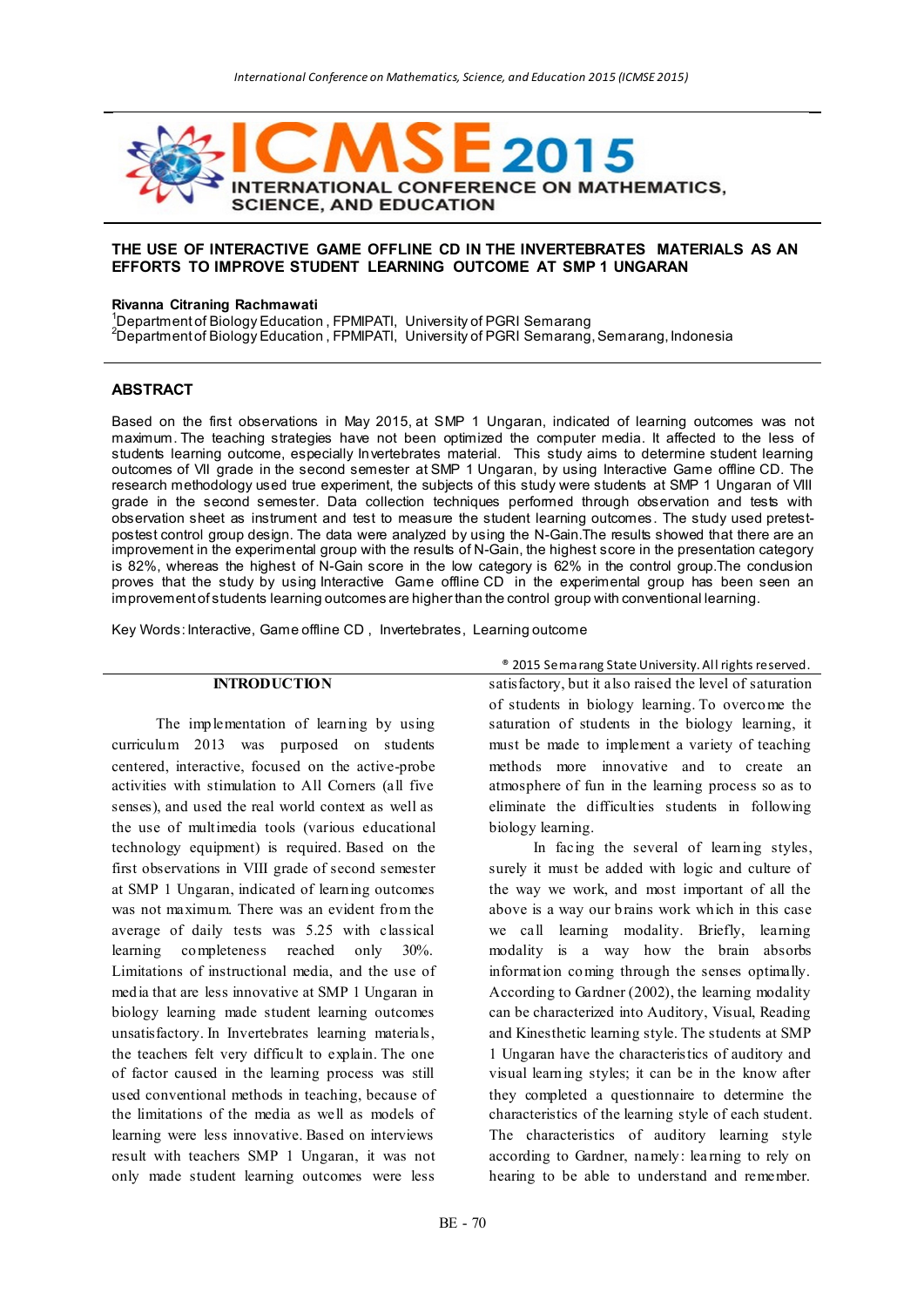

# **THE USE OF INTERACTIVE GAME OFFLINE CD IN THE INVERTEBRATES MATERIALS AS AN EFFORTS TO IMPROVE STUDENT LEARNING OUTCOME AT SMP 1 UNGARAN**

#### **Rivanna Citraning Rachmawati**

<sup>1</sup>Department of Biology Education , FPMIPATI, University of PGRI Semarang <sup>2</sup>Department of Biology Education , FPMIPATI, University of PGRI Semarang, Semarang, Indonesia

### **ABSTRACT**

Based on the first observations in May 2015, at SMP 1 Ungaran, indicated of learning outcomes was not maximum. The teaching strategies have not been optimized the computer media. It affected to the less of students learning outcome, especially Invertebrates material. This study aims to determine student learning outcomes of VII grade in the second semester at SMP 1 Ungaran, by using Interactive Game offline CD. The research methodology used true experiment, the subjects of this study were students at SMP 1 Ungaran of VIII grade in the second semester. Data collection techniques performed through observation and tests with observation sheet as instrument and test to measure the student learning outcomes. The study used pretestpostest control group design. The data were analyzed by using the N-Gain.The results showed that there are an improvement in the experimental group with the results of N-Gain, the highest score in the presentation category is 82%, whereas the highest of N-Gain score in the low category is 62% in the control group.The conclusion proves that the study by using Interactive Game offline CD in the experimental group has been seen an improvement of students learning outcomes are higher than the control group with conventional learning.

Key Words: Interactive, Game offline CD , Invertebrates, Learning outcome

#### **INTRODUCTION**

The implementation of learning by using curriculum 2013 was purposed on students centered, interactive, focused on the active-probe activities with stimulation to All Corners (all five senses), and used the real world context as well as the use of multimedia tools (various educational technology equipment) is required. Based on the first observations in VIII grade of second semester at SMP 1 Ungaran, indicated of learning outcomes was not maximum. There was an evident from the average of daily tests was 5.25 with classical learning completeness reached only 30%. Limitations of instructional media, and the use of media that are less innovative at SMP 1 Ungaran in biology learning made student learning outcomes unsatisfactory. In Invertebrates learning materials, the teachers felt very difficult to explain. The one of factor caused in the learning process was still used conventional methods in teaching, because of the limitations of the media as well as models of learning were less innovative. Based on interviews result with teachers SMP 1 Ungaran, it was not only made student learning outcomes were less

® 2015 Semarang State University. All rights reserved. satisfactory, but it also raised the level of saturation of students in biology learning. To overcome the saturation of students in the biology learning, it must be made to implement a variety of teaching methods more innovative and to create an atmosphere of fun in the learning process so as to eliminate the difficulties students in following biology learning.

In facing the several of learning styles, surely it must be added with logic and culture of the way we work, and most important of all the above is a way our brains work which in this case we call learning modality. Briefly, learning modality is a way how the brain absorbs information coming through the senses optimally. According to Gardner (2002), the learning modality can be characterized into Auditory, Visual, Reading and Kinesthetic learning style. The students at SMP 1 Ungaran have the characteristics of auditory and visual learning styles; it can be in the know after they completed a questionnaire to determine the characteristics of the learning style of each student. The characteristics of auditory learning style according to Gardner, namely: lea rning to rely on hearing to be able to understand and remember.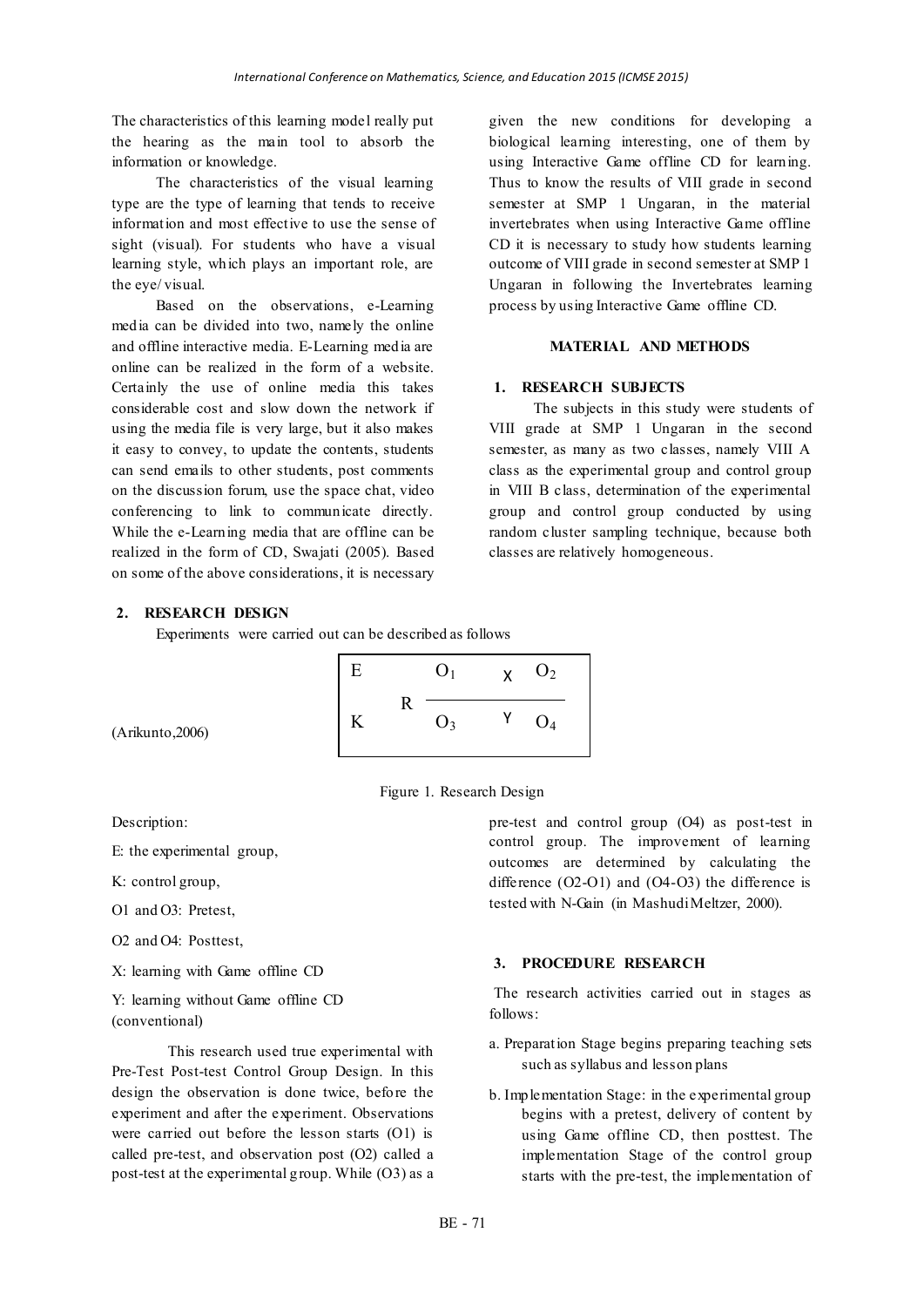The characteristics of this learning model really put the hearing as the main tool to absorb the information or knowledge.

The characteristics of the visual learning type are the type of learning that tends to receive information and most effective to use the sense of sight (visual). For students who have a visual learning style, which plays an important role, are the eye/ visual.

Based on the observations, e-Learning media can be divided into two, namely the online and offline interactive media. E-Learning media are online can be realized in the form of a website. Certainly the use of online media this takes considerable cost and slow down the network if using the media file is very large, but it also makes it easy to convey, to update the contents, students can send emails to other students, post comments on the discussion forum, use the space chat, video conferencing to link to communicate directly. While the e-Learning media that are offline can be realized in the form of CD, Swajati (2005). Based on some of the above considerations, it is necessary

given the new conditions for developing a biological learning interesting, one of them by using Interactive Game offline CD for learning. Thus to know the results of VIII grade in second semester at SMP 1 Ungaran, in the material invertebrates when using Interactive Game offline CD it is necessary to study how students learning outcome of VIII grade in second semester at SMP 1 Ungaran in following the Invertebrates learning process by using Interactive Game offline CD.

### **MATERIAL AND METHODS**

# **1. RESEARCH SUBJECTS**

The subjects in this study were students of VIII grade at SMP 1 Ungaran in the second semester, as many as two classes, namely VIII A class as the experimental group and control group in VIII B class, determination of the experimental group and control group conducted by using random cluster sampling technique, because both classes are relatively homogeneous.

### **2. RESEARCH DESIGN**

Experiments were carried out can be described as follows



(Arikunto,2006)

Figure 1. Research Design

Description:

E: the experimental group,

K: control group,

O1 and O3: Pretest,

O2 and O4: Posttest,

X: learning with Game offline CD

Y: learning without Game offline CD (conventional)

This research used true experimental with Pre-Test Post-test Control Group Design. In this design the observation is done twice, before the experiment and after the experiment. Observations were carried out before the lesson starts (O1) is called pre-test, and observation post (O2) called a post-test at the experimental group. While (O3) as a

pre-test and control group (O4) as post-test in control group. The improvement of learning outcomes are determined by calculating the difference (O2-O1) and (O4-O3) the difference is tested with N-Gain (in Mashudi Meltzer, 2000).

#### **3. PROCEDURE RESEARCH**

The research activities carried out in stages as follows:

- a. Preparation Stage begins preparing teaching sets such as syllabus and lesson plans
- b. Implementation Stage: in the experimental group begins with a pretest, delivery of content by using Game offline CD, then posttest. The implementation Stage of the control group starts with the pre-test, the implementation of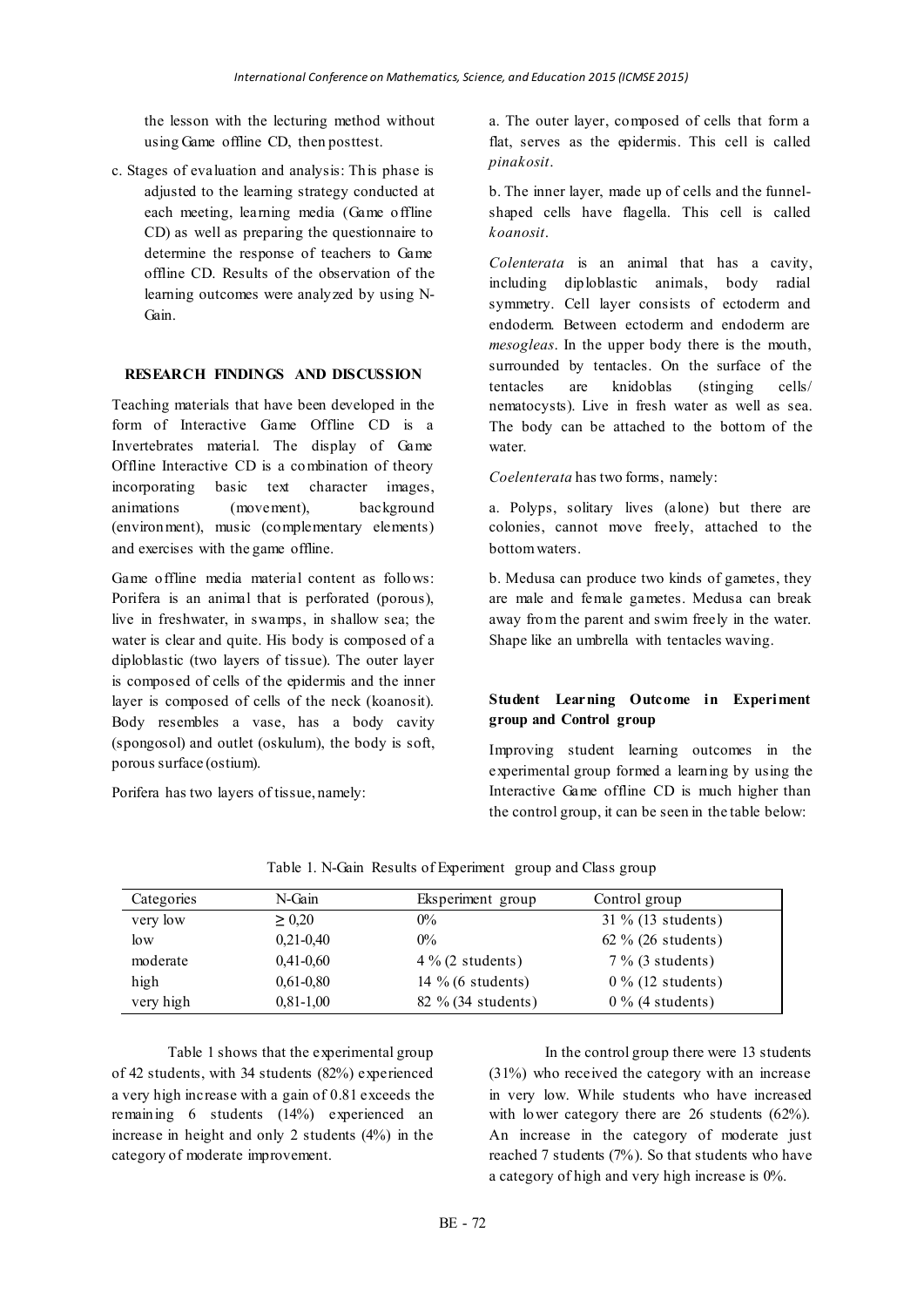the lesson with the lecturing method without using Game offline CD, then posttest.

c. Stages of evaluation and analysis: This phase is adjusted to the learning strategy conducted at each meeting, learning media (Game offline CD) as well as preparing the questionnaire to determine the response of teachers to Game offline CD. Results of the observation of the learning outcomes were analyzed by using N-Gain.

### **RESEARCH FINDINGS AND DISCUSSION**

Teaching materials that have been developed in the form of Interactive Game Offline CD is a Invertebrates material. The display of Game Offline Interactive CD is a combination of theory incorporating basic text character images, animations (movement), background (environment), music (complementary elements) and exercises with the game offline.

Game offline media material content as follows: Porifera is an animal that is perforated (porous), live in freshwater, in swamps, in shallow sea; the water is clear and quite. His body is composed of a diploblastic (two layers of tissue). The outer layer is composed of cells of the epidermis and the inner layer is composed of cells of the neck (koanosit). Body resembles a vase, has a body cavity (spongosol) and outlet (oskulum), the body is soft, porous surface (ostium).

Porifera has two layers of tissue, namely:

a. The outer layer, composed of cells that form a flat, serves as the epidermis. This cell is called *pinakosit*.

b. The inner layer, made up of cells and the funnelshaped cells have flagella. This cell is called *koanosit*.

*Colenterata* is an animal that has a cavity, including diploblastic animals, body radial symmetry. Cell layer consists of ectoderm and endoderm. Between ectoderm and endoderm are *mesogleas*. In the upper body there is the mouth, surrounded by tentacles. On the surface of the tentacles are knidoblas (stinging cells/ nematocysts). Live in fresh water as well as sea. The body can be attached to the bottom of the water.

*Coelenterata* has two forms, namely:

a. Polyps, solitary lives (alone) but there are colonies, cannot move freely, attached to the bottom waters.

b. Medusa can produce two kinds of gametes, they are male and female gametes. Medusa can break away from the parent and swim freely in the water. Shape like an umbrella with tentacles waving.

# **Student Learning Outcome in Experiment group and Control group**

Improving student learning outcomes in the experimental group formed a learning by using the Interactive Game offline CD is much higher than the control group, it can be seen in the table below:

| Categories | N-Gain        | Eksperiment group   | Control group         |
|------------|---------------|---------------------|-----------------------|
| very low   | $\geq 0.20$   | $0\%$               | 31 % (13 students)    |
| low        | $0,21-0,40$   | $0\%$               | 62 $\%$ (26 students) |
| moderate   | $0,41-0,60$   | $4\%$ (2 students)  | $7\%$ (3 students)    |
| high       | $0.61 - 0.80$ | $14\%$ (6 students) | $0\%$ (12 students)   |
| very high  | $0.81 - 1.00$ | 82 % (34 students)  | $0\%$ (4 students)    |

Table 1. N-Gain Results of Experiment group and Class group

Table 1 shows that the experimental group of 42 students, with 34 students (82%) experienced a very high increase with a gain of 0.81 exceeds the remaining 6 students (14%) experienced an increase in height and only 2 students (4%) in the category of moderate improvement.

In the control group there were 13 students (31%) who received the category with an increase in very low. While students who have increased with lower category there are 26 students (62%). An increase in the category of moderate just reached 7 students (7%). So that students who have a category of high and very high increase is 0%.